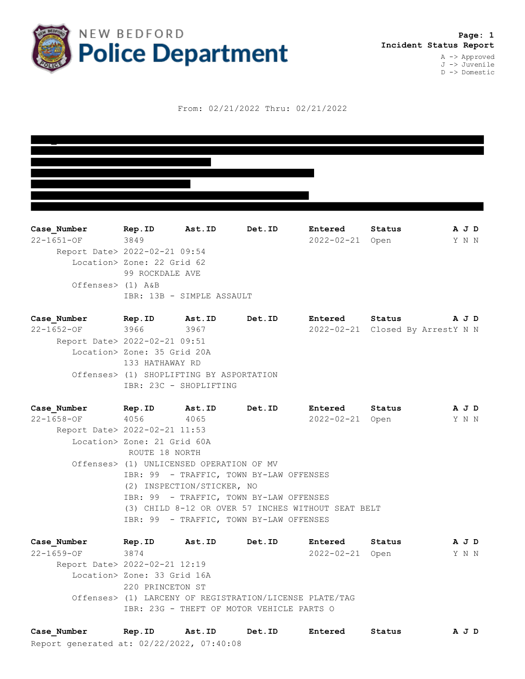

From: 02/21/2022 Thru: 02/21/2022

| Case Number                   | Rep.ID                     | Ast.ID                    | Det.ID | Entered          | Status | A J D |  |
|-------------------------------|----------------------------|---------------------------|--------|------------------|--------|-------|--|
| $22 - 1651 - OF$              | 3849                       |                           |        | $2022 - 02 - 21$ | Open   | Y N N |  |
| Report Date> 2022-02-21 09:54 |                            |                           |        |                  |        |       |  |
|                               | Location> Zone: 22 Grid 62 |                           |        |                  |        |       |  |
|                               | 99 ROCKDALE AVE            |                           |        |                  |        |       |  |
| Offenses> (1) A&B             |                            |                           |        |                  |        |       |  |
|                               |                            | IBR: 13B - SIMPLE ASSAULT |        |                  |        |       |  |
|                               |                            |                           |        |                  |        |       |  |

| Case Number                   | Rep.ID                                   | Ast.ID                      | Det.ID | Entered                          | Status |  | A J D |  |
|-------------------------------|------------------------------------------|-----------------------------|--------|----------------------------------|--------|--|-------|--|
| $22 - 1652 - 0F$              | 3966                                     | 3967                        |        | 2022-02-21 Closed By ArrestY N N |        |  |       |  |
| Report Date> 2022-02-21 09:51 |                                          |                             |        |                                  |        |  |       |  |
|                               |                                          | Location> Zone: 35 Grid 20A |        |                                  |        |  |       |  |
|                               | 133 HATHAWAY RD                          |                             |        |                                  |        |  |       |  |
|                               | Offenses> (1) SHOPLIFTING BY ASPORTATION |                             |        |                                  |        |  |       |  |
|                               | IBR: 23C - SHOPLIFTING                   |                             |        |                                  |        |  |       |  |
|                               |                                          |                             |        |                                  |        |  |       |  |

**Case\_Number Rep.ID Ast.ID Det.ID Entered Status A J D** 22-1658-OF 4056 4065 2022-02-21 Open Y N N Report Date> 2022-02-21 11:53 Location> Zone: 21 Grid 60A ROUTE 18 NORTH Offenses> (1) UNLICENSED OPERATION OF MV IBR: 99 - TRAFFIC, TOWN BY-LAW OFFENSES (2) INSPECTION/STICKER, NO IBR: 99 - TRAFFIC, TOWN BY-LAW OFFENSES (3) CHILD 8-12 OR OVER 57 INCHES WITHOUT SEAT BELT IBR: 99 - TRAFFIC, TOWN BY-LAW OFFENSES

**Case\_Number Rep.ID Ast.ID Det.ID Entered Status A J D** 22-1659-OF 3874 2022-02-21 Open Y N N Report Date> 2022-02-21 12:19 Location> Zone: 33 Grid 16A 220 PRINCETON ST Offenses> (1) LARCENY OF REGISTRATION/LICENSE PLATE/TAG IBR: 23G - THEFT OF MOTOR VEHICLE PARTS O

| Case Number                               | Rep.ID | Ast.ID | Det.ID | Entered | Status | AJD |  |
|-------------------------------------------|--------|--------|--------|---------|--------|-----|--|
| Report generated at: 02/22/2022, 07:40:08 |        |        |        |         |        |     |  |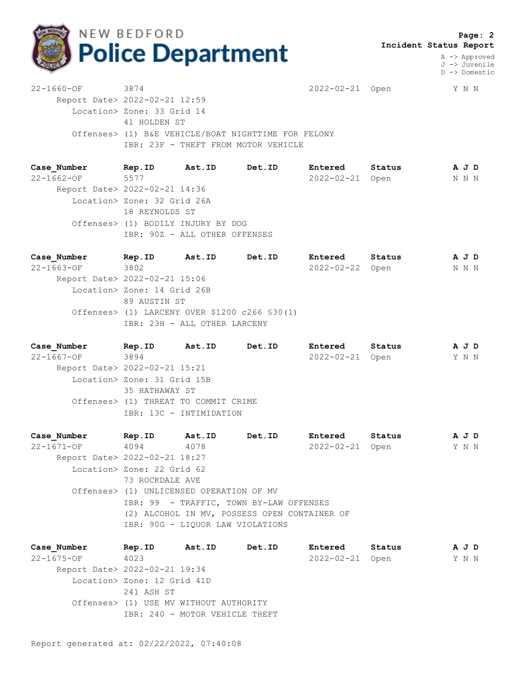

 **Page: 2 Incident Status Report**

> A -> Approved J -> Juvenile D -> Domestic

22-1660-OF 3874 2022-02-21 Open Y N N Report Date> 2022-02-21 12:59 Location> Zone: 33 Grid 14 41 HOLDEN ST Offenses> (1) B&E VEHICLE/BOAT NIGHTTIME FOR FELONY IBR: 23F - THEFT FROM MOTOR VEHICLE

**Case\_Number Rep.ID Ast.ID Det.ID Entered Status A J D** 22-1662-OF 5577 2022-02-21 Open N N N Report Date> 2022-02-21 14:36 Location> Zone: 32 Grid 26A 18 REYNOLDS ST Offenses> (1) BODILY INJURY BY DOG IBR: 90Z - ALL OTHER OFFENSES

**Case\_Number Rep.ID Ast.ID Det.ID Entered Status A J D** 22-1663-OF 3802 2022-02-22 Open N N N Report Date> 2022-02-21 15:06 Location> Zone: 14 Grid 26B 89 AUSTIN ST Offenses> (1) LARCENY OVER \$1200 c266 §30(1) IBR: 23H - ALL OTHER LARCENY

**Case\_Number Rep.ID Ast.ID Det.ID Entered Status A J D** 22-1667-OF 3894 2022-02-21 Open Y N N Report Date> 2022-02-21 15:21 Location> Zone: 31 Grid 15B 35 HATHAWAY ST Offenses> (1) THREAT TO COMMIT CRIME IBR: 13C - INTIMIDATION

**Case\_Number Rep.ID Ast.ID Det.ID Entered Status A J D** 22-1671-OF 4094 4078 2022-02-21 Open Y N N Report Date> 2022-02-21 18:27 Location> Zone: 22 Grid 62 73 ROCKDALE AVE Offenses> (1) UNLICENSED OPERATION OF MV IBR: 99 - TRAFFIC, TOWN BY-LAW OFFENSES (2) ALCOHOL IN MV, POSSESS OPEN CONTAINER OF IBR: 90G - LIQUOR LAW VIOLATIONS

**Case\_Number Rep.ID Ast.ID Det.ID Entered Status A J D** 22-1675-OF 4023 2022-02-21 Open Y N N Report Date> 2022-02-21 19:34 Location> Zone: 12 Grid 41D 241 ASH ST Offenses> (1) USE MV WITHOUT AUTHORITY IBR: 240 - MOTOR VEHICLE THEFT